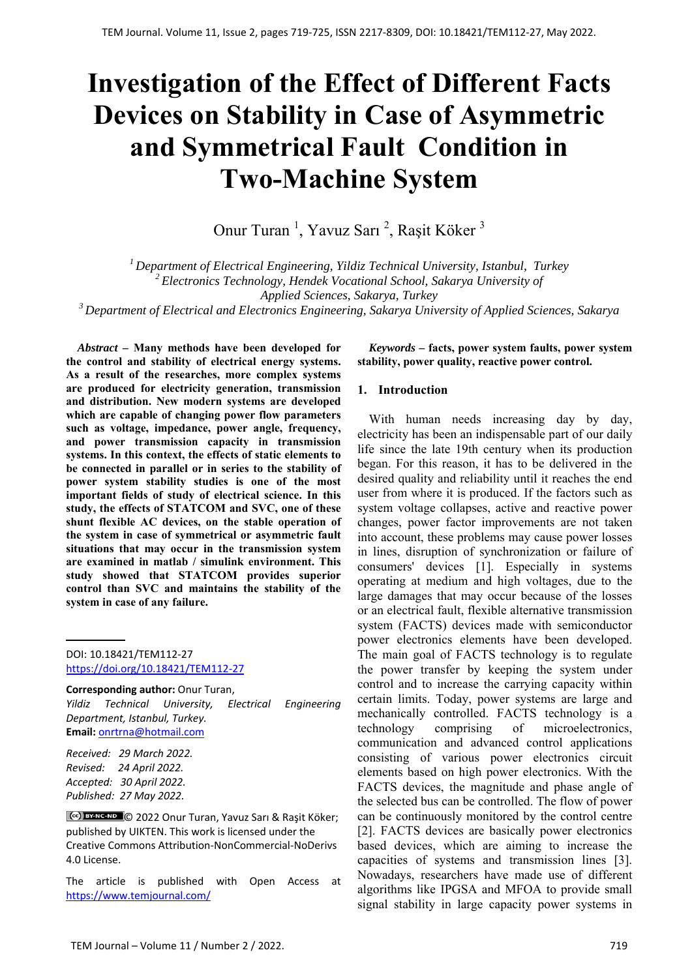# **Investigation of the Effect of Different Facts Devices on Stability in Case of Asymmetric and Symmetrical Fault Condition in Two-Machine System**

Onur Turan<sup>1</sup>, Yavuz Sarı<sup>2</sup>, Raşit Köker<sup>3</sup>

*1 Department of Electrical Engineering, Yildiz Technical University, Istanbul, Turkey 2 Electronics Technology, Hendek Vocational School, Sakarya University of Applied Sciences, Sakarya, Turkey* 

*3 Department of Electrical and Electronics Engineering, Sakarya University of Applied Sciences, Sakarya* 

*Abstract –* **Many methods have been developed for the control and stability of electrical energy systems. As a result of the researches, more complex systems are produced for electricity generation, transmission and distribution. New modern systems are developed which are capable of changing power flow parameters such as voltage, impedance, power angle, frequency, and power transmission capacity in transmission systems. In this context, the effects of static elements to be connected in parallel or in series to the stability of power system stability studies is one of the most important fields of study of electrical science. In this study, the effects of STATCOM and SVC, one of these shunt flexible AC devices, on the stable operation of the system in case of symmetrical or asymmetric fault situations that may occur in the transmission system are examined in matlab / simulink environment. This study showed that STATCOM provides superior control than SVC and maintains the stability of the system in case of any failure.** 

DOI: 10.18421/TEM112-27 [https://doi.org/10.18421/TEM112](https://doi.org/10.18421/TEM112-27)-27

**Corresponding author:** Onur Turan, *Yildiz Technical University, Electrical Engineering Department, Istanbul, Turkey.*  **Email:** onrtrna@hotmail.com

*Received: 29 March 2022. Revised: 24 April 2022. Accepted: 30 April 2022. Published: 27 May 2022.* 

© 2022 Onur Turan, Yavuz Sarı & Raşit Köker; published by UIKTEN. This work is licensed under the Creative Commons Attribution‐NonCommercial‐NoDerivs 4.0 License.

The article is published with Open Access at https://www.temjournal.com/

*Keywords –* **facts, power system faults, power system stability, power quality, reactive power control.** 

#### **1. Introduction**

With human needs increasing day by day, electricity has been an indispensable part of our daily life since the late 19th century when its production began. For this reason, it has to be delivered in the desired quality and reliability until it reaches the end user from where it is produced. If the factors such as system voltage collapses, active and reactive power changes, power factor improvements are not taken into account, these problems may cause power losses in lines, disruption of synchronization or failure of consumers' devices [1]. Especially in systems operating at medium and high voltages, due to the large damages that may occur because of the losses or an electrical fault, flexible alternative transmission system (FACTS) devices made with semiconductor power electronics elements have been developed. The main goal of FACTS technology is to regulate the power transfer by keeping the system under control and to increase the carrying capacity within certain limits. Today, power systems are large and mechanically controlled. FACTS technology is a technology comprising of microelectronics, communication and advanced control applications consisting of various power electronics circuit elements based on high power electronics. With the FACTS devices, the magnitude and phase angle of the selected bus can be controlled. The flow of power can be continuously monitored by the control centre [2]. FACTS devices are basically power electronics based devices, which are aiming to increase the capacities of systems and transmission lines [3]. Nowadays, researchers have made use of different algorithms like IPGSA and MFOA to provide small signal stability in large capacity power systems in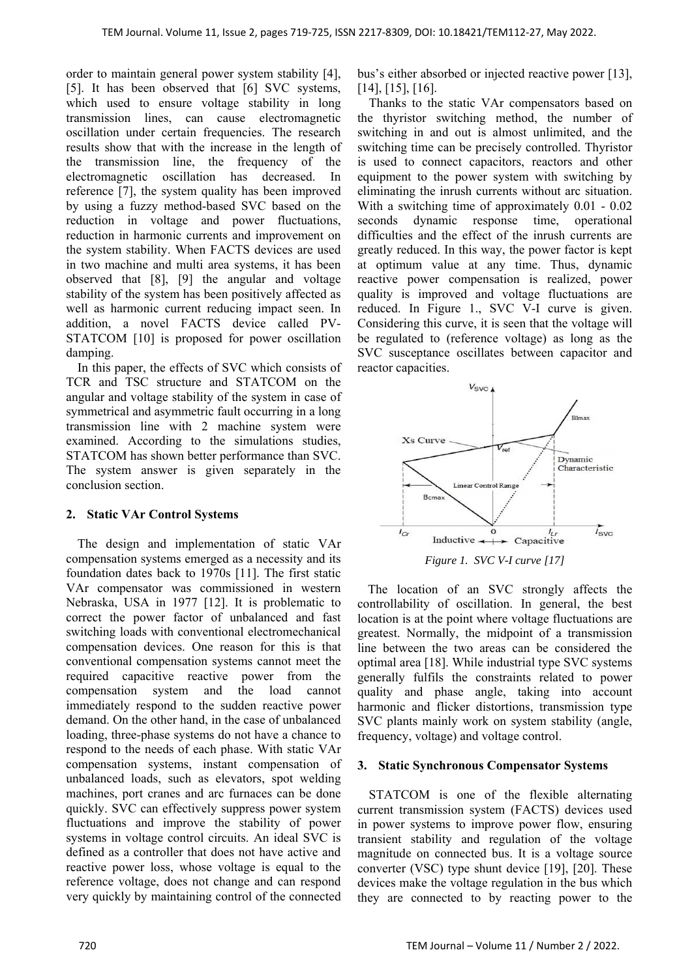order to maintain general power system stability [4], [5]. It has been observed that [6] SVC systems, which used to ensure voltage stability in long transmission lines, can cause electromagnetic oscillation under certain frequencies. The research results show that with the increase in the length of the transmission line, the frequency of the electromagnetic oscillation has decreased. In reference [7], the system quality has been improved by using a fuzzy method-based SVC based on the reduction in voltage and power fluctuations, reduction in harmonic currents and improvement on the system stability. When FACTS devices are used in two machine and multi area systems, it has been observed that [8], [9] the angular and voltage stability of the system has been positively affected as well as harmonic current reducing impact seen. In addition, a novel FACTS device called PV-STATCOM [10] is proposed for power oscillation damping.

In this paper, the effects of SVC which consists of TCR and TSC structure and STATCOM on the angular and voltage stability of the system in case of symmetrical and asymmetric fault occurring in a long transmission line with 2 machine system were examined. According to the simulations studies, STATCOM has shown better performance than SVC. The system answer is given separately in the conclusion section.

# **2. Static VAr Control Systems**

The design and implementation of static VAr compensation systems emerged as a necessity and its foundation dates back to 1970s [11]. The first static VAr compensator was commissioned in western Nebraska, USA in 1977 [12]. It is problematic to correct the power factor of unbalanced and fast switching loads with conventional electromechanical compensation devices. One reason for this is that conventional compensation systems cannot meet the required capacitive reactive power from the compensation system and the load cannot immediately respond to the sudden reactive power demand. On the other hand, in the case of unbalanced loading, three-phase systems do not have a chance to respond to the needs of each phase. With static VAr compensation systems, instant compensation of unbalanced loads, such as elevators, spot welding machines, port cranes and arc furnaces can be done quickly. SVC can effectively suppress power system fluctuations and improve the stability of power systems in voltage control circuits. An ideal SVC is defined as a controller that does not have active and reactive power loss, whose voltage is equal to the reference voltage, does not change and can respond very quickly by maintaining control of the connected

bus's either absorbed or injected reactive power [13], [14], [15], [16].

Thanks to the static VAr compensators based on the thyristor switching method, the number of switching in and out is almost unlimited, and the switching time can be precisely controlled. Thyristor is used to connect capacitors, reactors and other equipment to the power system with switching by eliminating the inrush currents without arc situation. With a switching time of approximately 0.01 - 0.02 seconds dynamic response time, operational difficulties and the effect of the inrush currents are greatly reduced. In this way, the power factor is kept at optimum value at any time. Thus, dynamic reactive power compensation is realized, power quality is improved and voltage fluctuations are reduced. In Figure 1., SVC V-I curve is given. Considering this curve, it is seen that the voltage will be regulated to (reference voltage) as long as the SVC susceptance oscillates between capacitor and reactor capacities.



The location of an SVC strongly affects the controllability of oscillation. In general, the best location is at the point where voltage fluctuations are greatest. Normally, the midpoint of a transmission line between the two areas can be considered the optimal area [18]. While industrial type SVC systems generally fulfils the constraints related to power quality and phase angle, taking into account harmonic and flicker distortions, transmission type SVC plants mainly work on system stability (angle, frequency, voltage) and voltage control.

# **3. Static Synchronous Compensator Systems**

STATCOM is one of the flexible alternating current transmission system (FACTS) devices used in power systems to improve power flow, ensuring transient stability and regulation of the voltage magnitude on connected bus. It is a voltage source converter (VSC) type shunt device [19], [20]. These devices make the voltage regulation in the bus which they are connected to by reacting power to the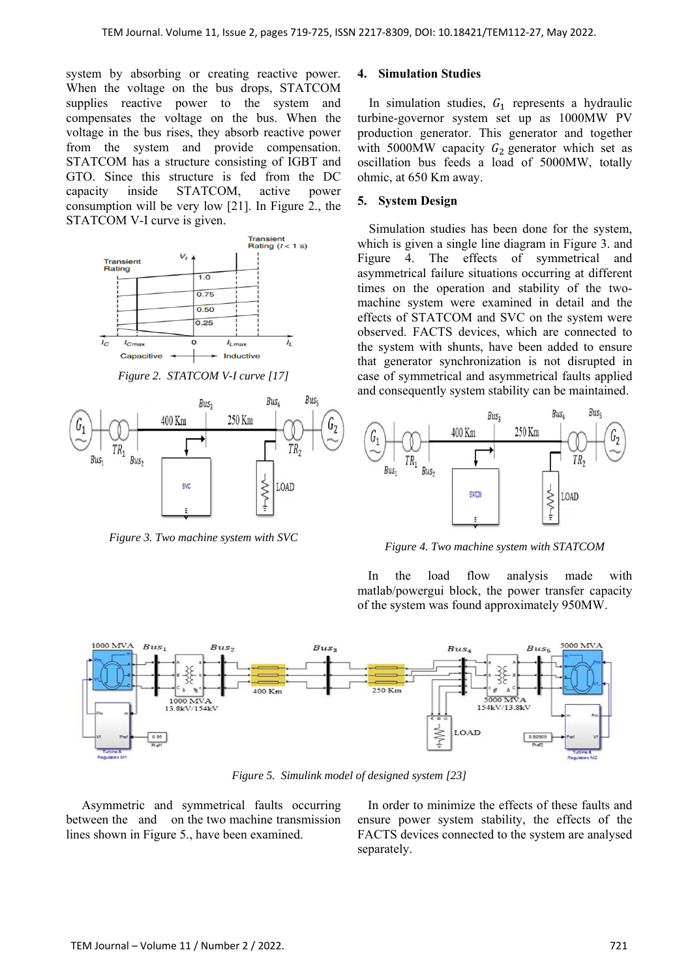system by absorbing or creating reactive power. When the voltage on the bus drops, STATCOM supplies reactive power to the system and compensates the voltage on the bus. When the voltage in the bus rises, they absorb reactive power from the system and provide compensation. STATCOM has a structure consisting of IGBT and GTO. Since this structure is fed from the DC capacity inside STATCOM, active power consumption will be very low [21]. In Figure 2., the STATCOM V-I curve is given.



*Figure 2. STATCOM V-I curve [17]* 



*Figure 3. Two machine system with SVC* 

### **4. Simulation Studies**

In simulation studies,  $G_1$  represents a hydraulic turbine-governor system set up as 1000MW PV production generator. This generator and together with 5000MW capacity  $G_2$  generator which set as oscillation bus feeds a load of 5000MW, totally ohmic, at 650 Km away.

## **5. System Design**

Simulation studies has been done for the system, which is given a single line diagram in Figure 3. and Figure 4. The effects of symmetrical and asymmetrical failure situations occurring at different times on the operation and stability of the twomachine system were examined in detail and the effects of STATCOM and SVC on the system were observed. FACTS devices, which are connected to the system with shunts, have been added to ensure that generator synchronization is not disrupted in case of symmetrical and asymmetrical faults applied and consequently system stability can be maintained.



*Figure 4. Two machine system with STATCOM* 

In the load flow analysis made with matlab/powergui block, the power transfer capacity of the system was found approximately 950MW.



*Figure 5. Simulink model of designed system [23]* 

Asymmetric and symmetrical faults occurring between the and on the two machine transmission lines shown in Figure 5., have been examined.

In order to minimize the effects of these faults and ensure power system stability, the effects of the FACTS devices connected to the system are analysed separately.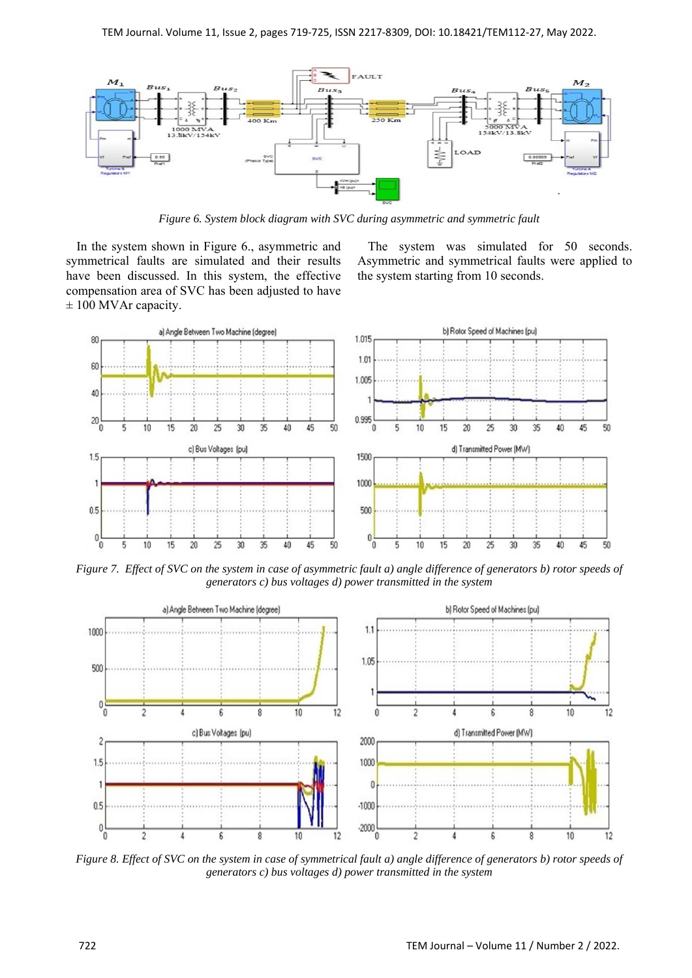

*Figure 6. System block diagram with SVC during asymmetric and symmetric fault* 

In the system shown in Figure 6., asymmetric and symmetrical faults are simulated and their results have been discussed. In this system, the effective compensation area of SVC has been adjusted to have  $\pm$  100 MVAr capacity.

The system was simulated for 50 seconds. Asymmetric and symmetrical faults were applied to the system starting from 10 seconds.



*Figure 7. Effect of SVC on the system in case of asymmetric fault a) angle difference of generators b) rotor speeds of generators c) bus voltages d) power transmitted in the system* 



*Figure 8. Effect of SVC on the system in case of symmetrical fault a) angle difference of generators b) rotor speeds of generators c) bus voltages d) power transmitted in the system*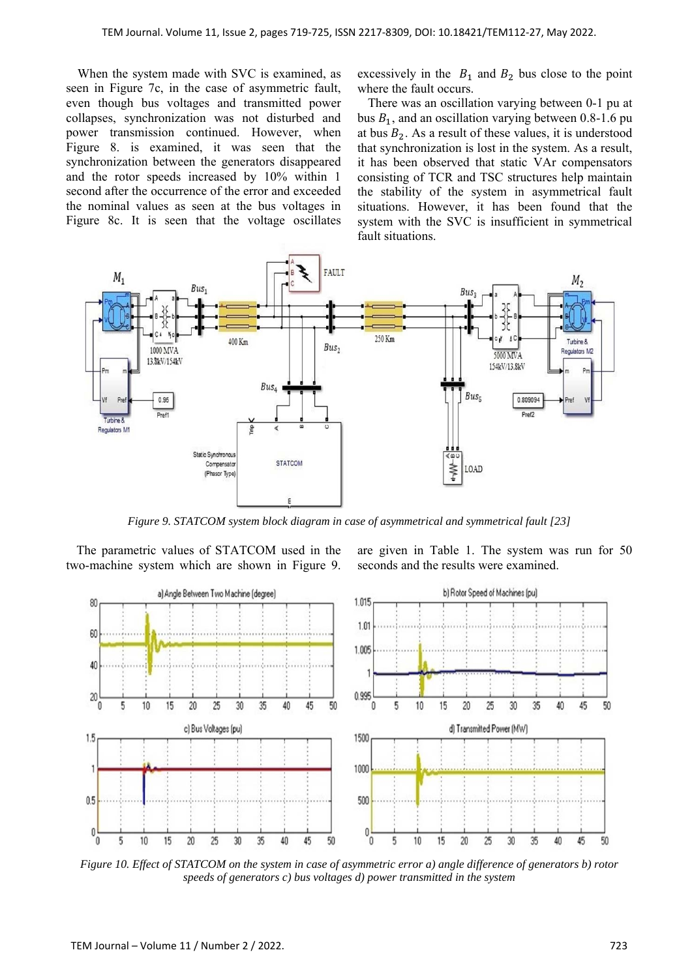When the system made with SVC is examined, as seen in Figure 7c, in the case of asymmetric fault, even though bus voltages and transmitted power collapses, synchronization was not disturbed and power transmission continued. However, when Figure 8. is examined, it was seen that the synchronization between the generators disappeared and the rotor speeds increased by 10% within 1 second after the occurrence of the error and exceeded the nominal values as seen at the bus voltages in Figure 8c. It is seen that the voltage oscillates excessively in the  $B_1$  and  $B_2$  bus close to the point where the fault occurs.

There was an oscillation varying between 0-1 pu at bus  $B_1$ , and an oscillation varying between 0.8-1.6 pu at bus  $B_2$ . As a result of these values, it is understood that synchronization is lost in the system. As a result, it has been observed that static VAr compensators consisting of TCR and TSC structures help maintain the stability of the system in asymmetrical fault situations. However, it has been found that the system with the SVC is insufficient in symmetrical fault situations.



*Figure 9. STATCOM system block diagram in case of asymmetrical and symmetrical fault [23]* 

The parametric values of STATCOM used in the two-machine system which are shown in Figure 9. are given in Table 1. The system was run for 50 seconds and the results were examined.



*Figure 10. Effect of STATCOM on the system in case of asymmetric error a) angle difference of generators b) rotor speeds of generators c) bus voltages d) power transmitted in the system*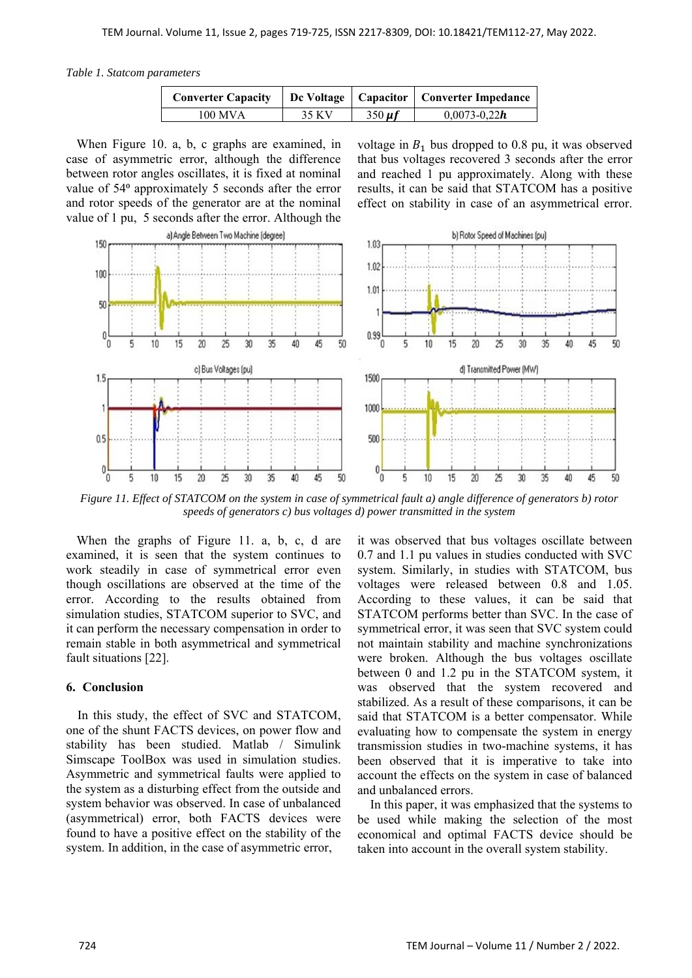*Table 1. Statcom parameters* 

|         |        |             | Converter Capacity   Dc Voltage   Capacitor   Converter Impedance |
|---------|--------|-------------|-------------------------------------------------------------------|
| 100 MVA | 35 K V | $350 \mu f$ | $0.0073 - 0.22h$                                                  |

When Figure 10. a, b, c graphs are examined, in case of asymmetric error, although the difference between rotor angles oscillates, it is fixed at nominal value of 54<sup>°</sup> approximately 5 seconds after the error and rotor speeds of the generator are at the nominal value of 1 pu, 5 seconds after the error. Although the

voltage in  $B_1$  bus dropped to 0.8 pu, it was observed that bus voltages recovered 3 seconds after the error and reached 1 pu approximately. Along with these results, it can be said that STATCOM has a positive effect on stability in case of an asymmetrical error.



*Figure 11. Effect of STATCOM on the system in case of symmetrical fault a) angle difference of generators b) rotor speeds of generators c) bus voltages d) power transmitted in the system* 

When the graphs of Figure 11. a, b, c, d are examined, it is seen that the system continues to work steadily in case of symmetrical error even though oscillations are observed at the time of the error. According to the results obtained from simulation studies, STATCOM superior to SVC, and it can perform the necessary compensation in order to remain stable in both asymmetrical and symmetrical fault situations [22].

# **6. Conclusion**

In this study, the effect of SVC and STATCOM, one of the shunt FACTS devices, on power flow and stability has been studied. Matlab / Simulink Simscape ToolBox was used in simulation studies. Asymmetric and symmetrical faults were applied to the system as a disturbing effect from the outside and system behavior was observed. In case of unbalanced (asymmetrical) error, both FACTS devices were found to have a positive effect on the stability of the system. In addition, in the case of asymmetric error,

it was observed that bus voltages oscillate between 0.7 and 1.1 pu values in studies conducted with SVC system. Similarly, in studies with STATCOM, bus voltages were released between 0.8 and 1.05. According to these values, it can be said that STATCOM performs better than SVC. In the case of symmetrical error, it was seen that SVC system could not maintain stability and machine synchronizations were broken. Although the bus voltages oscillate between 0 and 1.2 pu in the STATCOM system, it was observed that the system recovered and stabilized. As a result of these comparisons, it can be said that STATCOM is a better compensator. While evaluating how to compensate the system in energy transmission studies in two-machine systems, it has been observed that it is imperative to take into account the effects on the system in case of balanced and unbalanced errors.

 In this paper, it was emphasized that the systems to be used while making the selection of the most economical and optimal FACTS device should be taken into account in the overall system stability.